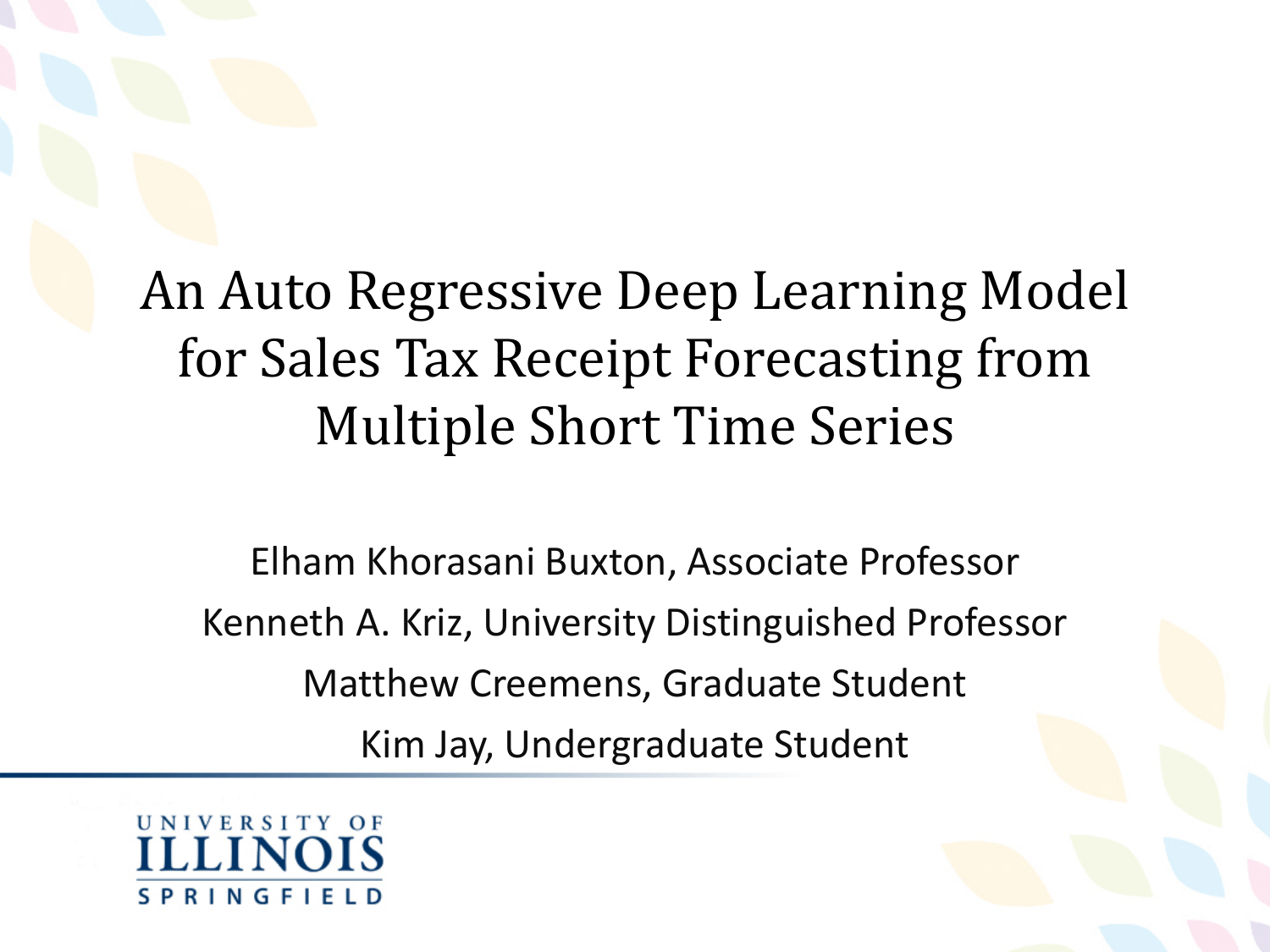#### An Auto Regressive Deep Learning Model for Sales Tax Receipt Forecasting from Multiple Short Time Series

Elham Khorasani Buxton, Associate Professor Kenneth A. Kriz, University Distinguished Professor Matthew Creemens, Graduate Student Kim Jay, Undergraduate Student

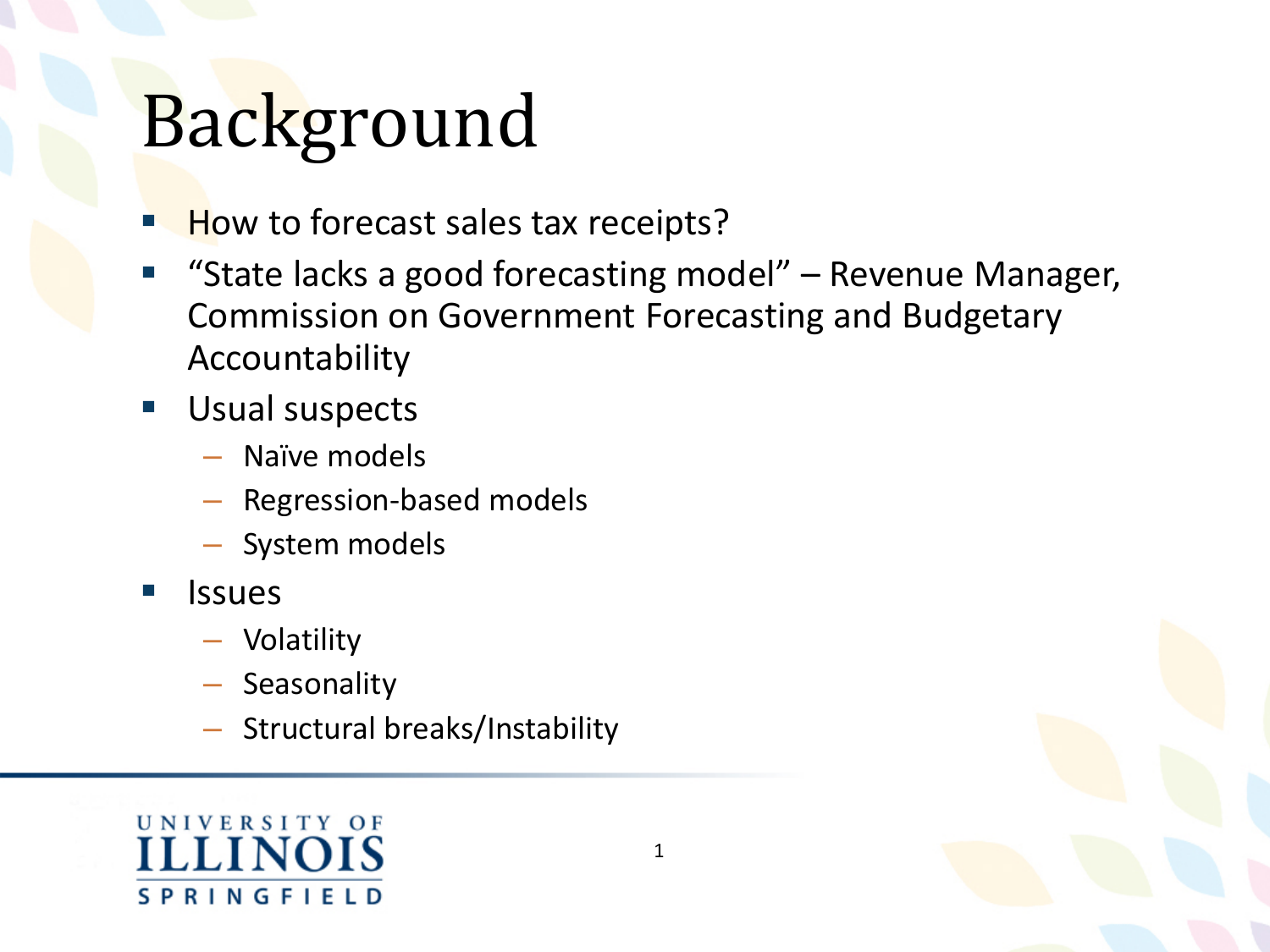## Background

- How to forecast sales tax receipts?
- "State lacks a good forecasting model" Revenue Manager, Commission on Government Forecasting and Budgetary Accountability
- **Usual suspects** 
	- Naïve models
	- Regression-based models
	- System models
- **Issues** 
	- Volatility
	- Seasonality
	- Structural breaks/Instability



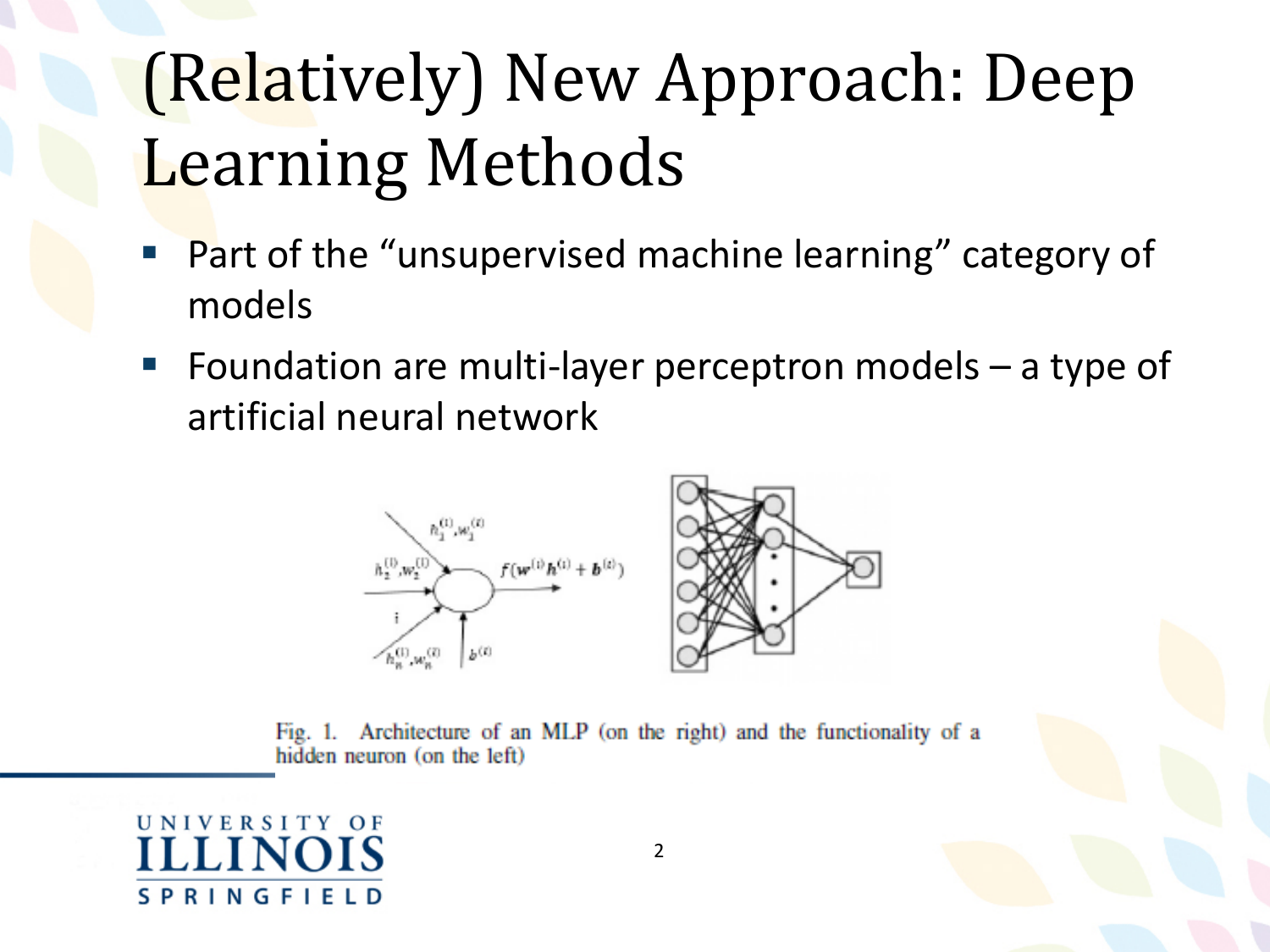## (Relatively) New Approach: Deep Learning Methods

- Part of the "unsupervised machine learning" category of models
- Foundation are multi-layer perceptron models a type of artificial neural network



Fig. 1. Architecture of an MLP (on the right) and the functionality of a hidden neuron (on the left)

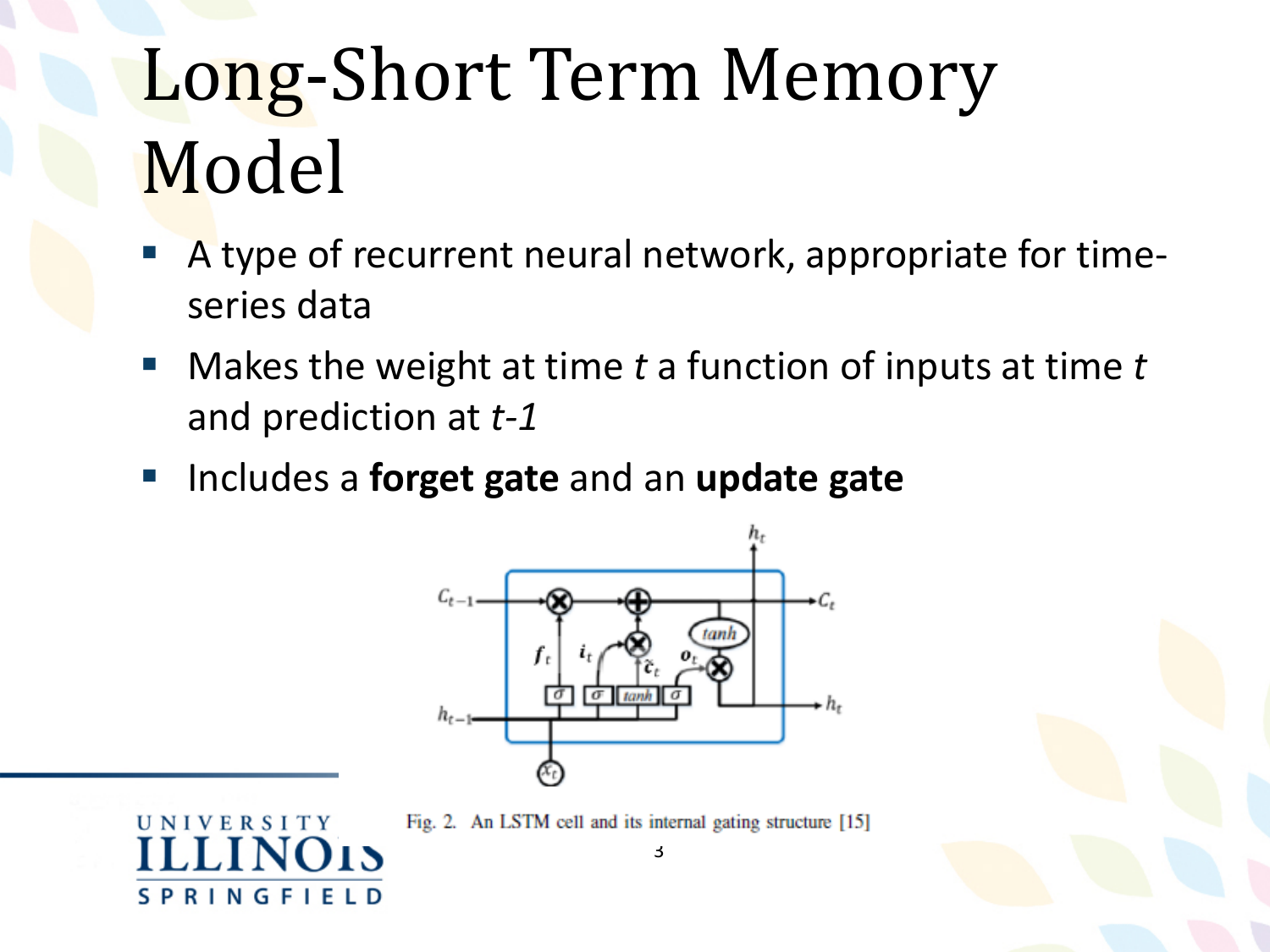# Long-Short Term Memory Model

- A type of recurrent neural network, appropriate for timeseries data
- Makes the weight at time *t* a function of inputs at time *t* and prediction at *t-1*
- Includes a **forget gate** and an **update gate**

**UNIVERSITY** 

**SPRINGFIELD** 



Fig. 2. An LSTM cell and its internal gating structure [15]

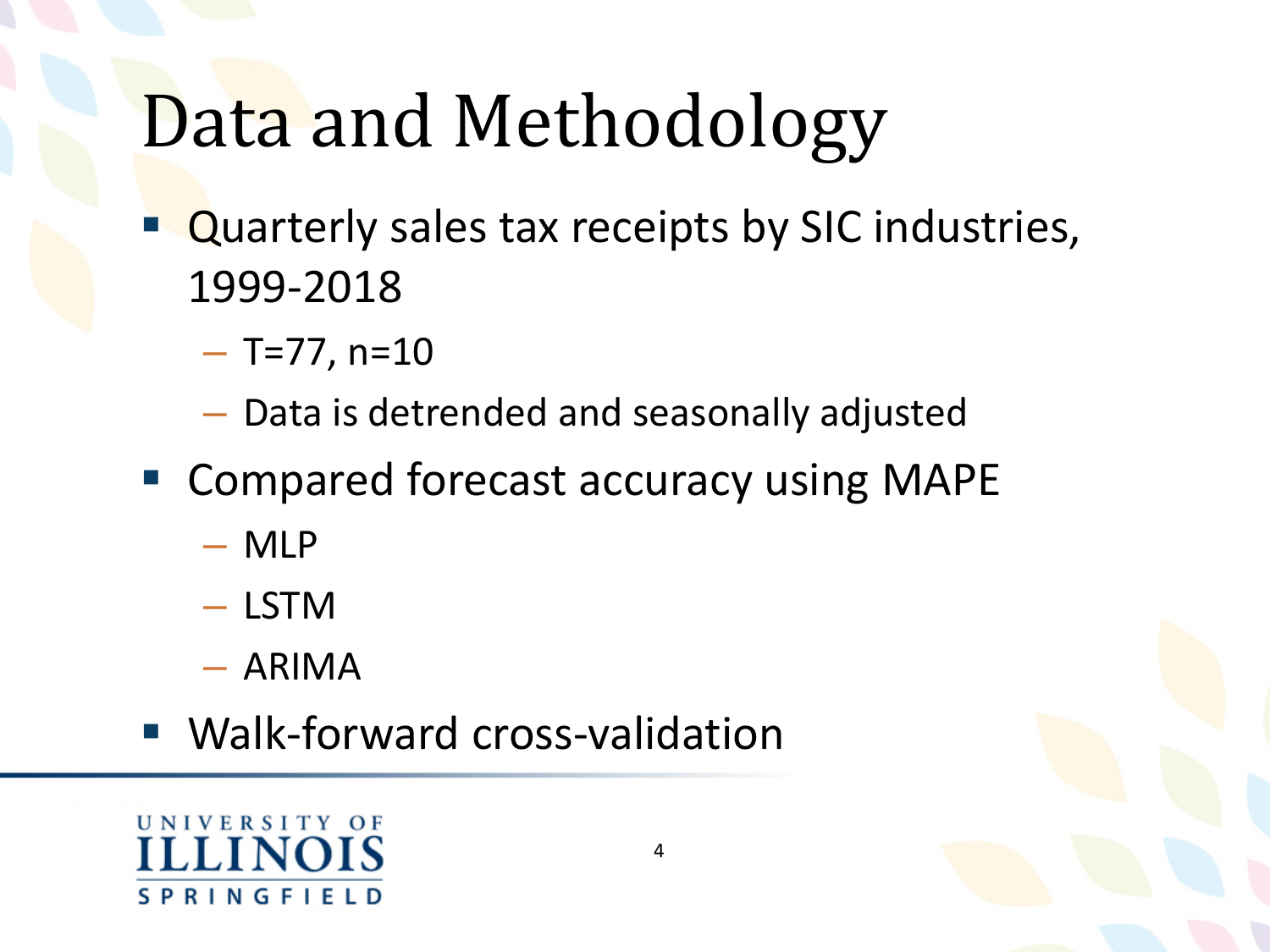# Data and Methodology

- Quarterly sales tax receipts by SIC industries, 1999-2018
	- $-$  T=77, n=10
	- Data is detrended and seasonally adjusted
- Compared forecast accuracy using MAPE
	- MLP
	- LSTM
	- ARIMA
- Walk-forward cross-validation

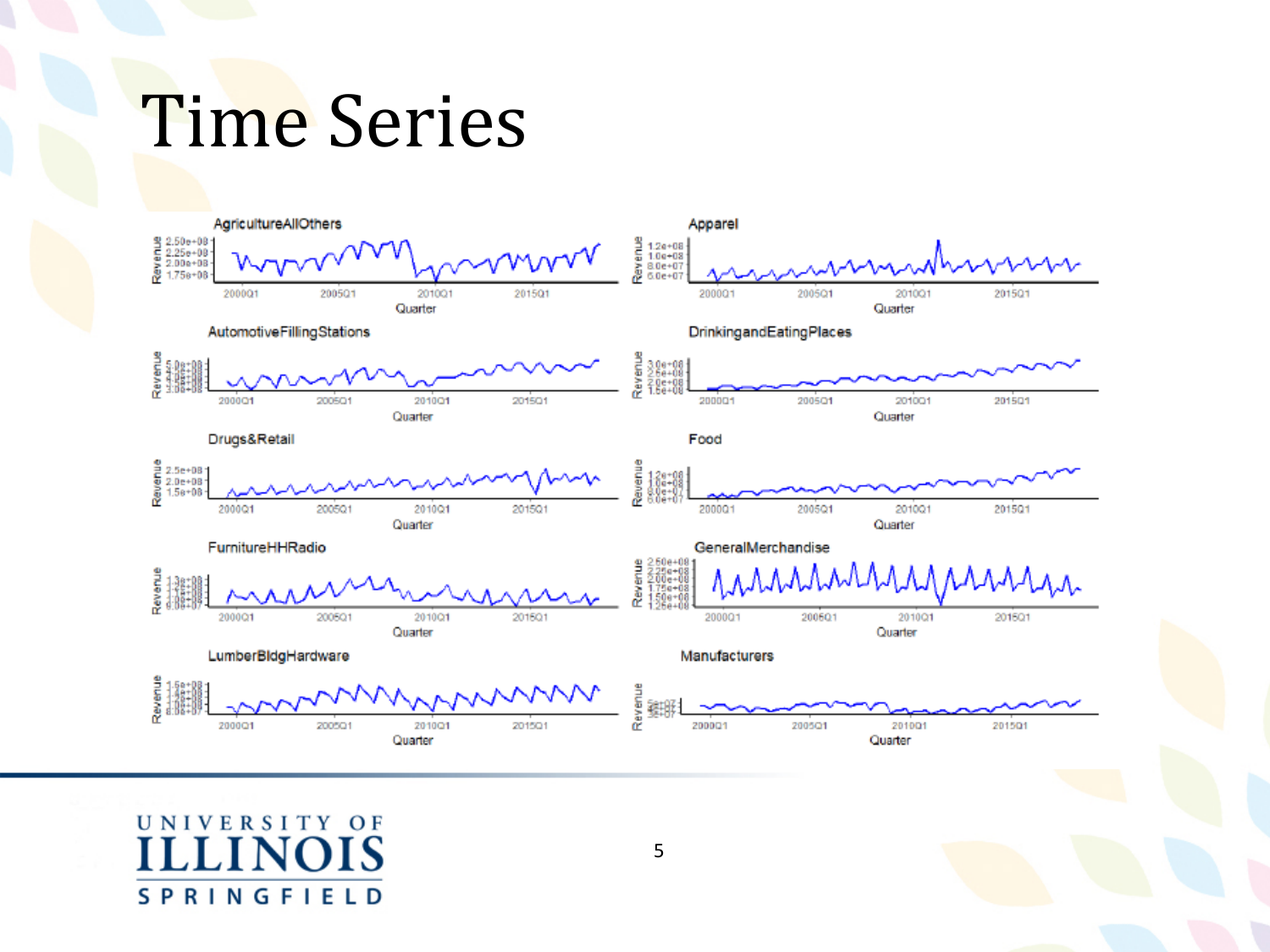### Time Series

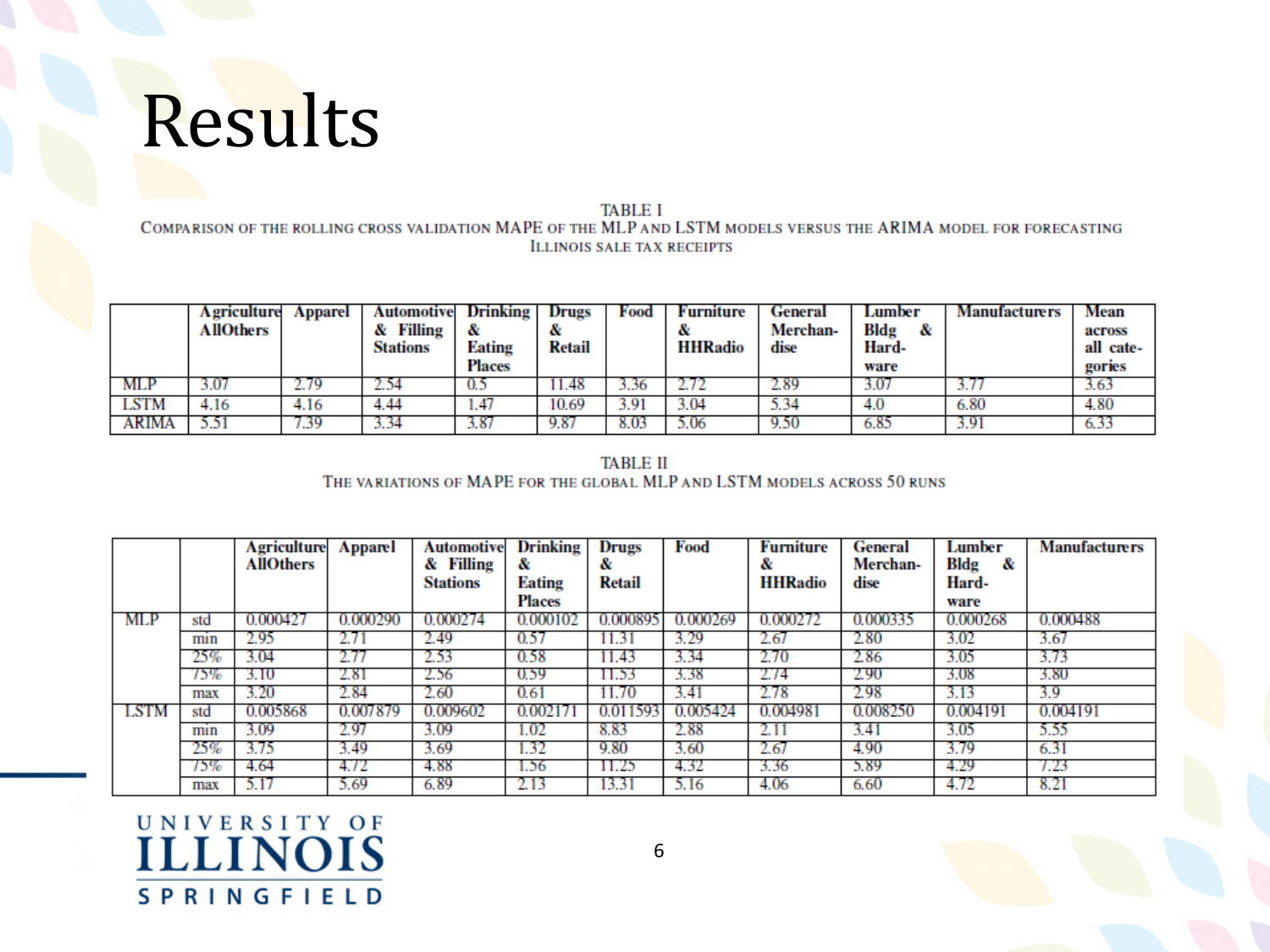### Results

**TABLE I** COMPARISON OF THE ROLLING CROSS VALIDATION MAPE OF THE MLP AND LSTM MODELS VERSUS THE ARIMA MODEL FOR FORECASTING **ILLINOIS SALE TAX RECEIPTS** 

|       | <b>A</b> griculture<br><b>AllOthers</b> | Apparel | <b>Automotive</b><br>Filling<br><b>Stations</b> | Drinking<br>œ<br><b>Eating</b><br>Places | Drugs<br>Retail | Food | Furniture<br><b>HHRadio</b> | General<br>Merchan-<br>dise | Lumber<br>Bldg<br>&<br>Hard-<br>ware | <b>Manufacturers</b> | Mean<br>across<br>all cate-<br>gories |
|-------|-----------------------------------------|---------|-------------------------------------------------|------------------------------------------|-----------------|------|-----------------------------|-----------------------------|--------------------------------------|----------------------|---------------------------------------|
| MLP   |                                         |         |                                                 | U.S                                      | 11.48           | 3.36 |                             | 2.89                        | 3.07                                 |                      | 5.65                                  |
| LSTM  | <i>i</i> .16                            | 4.16    | 4.44                                            | 1.47                                     | 10.69           | 3.91 | 3.04                        | 5.34                        | 4.0                                  | 6.80                 | 4.80                                  |
| ARIMA | المعادلين                               | .39     | 3.34                                            | 3.87                                     | 9.87            | 8.03 | 5.06                        | 9.56                        | 6.85                                 | 3.91                 | 6.33                                  |

**TABLE II** THE VARIATIONS OF MAPE FOR THE GLOBAL MLP AND LSTM MODELS ACROSS 50 RUNS

|            |     | <b>Agriculture</b><br><b>AllOthers</b> | Apparel     | Automotive<br>& Filling<br><b>Stations</b> | <b>Drinking</b><br>&<br>Eating<br>Places | Drugs<br>&<br>Retail | Food     | <b>Furniture</b><br>&<br><b>HHRadio</b> | <b>General</b><br>Merchan-<br>dise | Lumber<br>Bldg<br>&<br>Hard-<br>ware | <b>Manufacturers</b> |
|------------|-----|----------------------------------------|-------------|--------------------------------------------|------------------------------------------|----------------------|----------|-----------------------------------------|------------------------------------|--------------------------------------|----------------------|
| <b>MLP</b> | std | 0.000427                               | 0.000290    | 0.000274                                   | 0.000102                                 | 0.000895             | 0.000269 | 0.000272                                | 0.000335                           | 0.000268                             | 0.000488             |
|            | mın | 2.95                                   |             | 2.49                                       | 0.57                                     | 11.31                | 3.29     | 2.67                                    | 2.80                               | 3.02                                 | 3.67                 |
|            | 25% | 3.04                                   |             | 2.53                                       | 0.58                                     | 11.43                | 3.34     | 2.70                                    | 2.86                               | 3.05                                 | 3.73                 |
|            | 75% | 3.10                                   | 2.81        | 2.56                                       | 0.59                                     | 11.53                | 3.38     | 2.74                                    | 2.90                               | 3.08                                 | 3.80                 |
|            | max | 3.20                                   | 2.84        | 2.60                                       | 0.61                                     |                      | 3.41     | 2.78                                    | 2.98                               | 3.13                                 | 3.9                  |
| LSTM       | std | 0.005868                               | 0.007879    | 0.009602                                   | 0.00217                                  | 0.011593             | 0.005424 | 0.004981                                | 0.008250                           | 0.004191                             | 0.004191             |
|            | mın | 3.09                                   | 2.97        | 3.09                                       | 1.02                                     | 8.83                 | 2.88     |                                         | 3.41                               | 3.05                                 | 5.55                 |
|            | 25% | 3.75                                   | 3.49        | 3.69                                       | 1.32                                     | 9.80                 | 3.60     | 2.67                                    | 4.90                               | 3.79                                 | 6.31                 |
|            | 75% | 4.64                                   | 4.72        | 4.88                                       | 1.56                                     | 11.25                | 4.32     | 3.36                                    | 5.89                               | 4.29                                 | 7.23                 |
|            | max | 5.17                                   | <b>J.69</b> | 6.89                                       | 2.13                                     | 13.31                | 5.16     | 4.06                                    | 6.60                               | 4.72                                 | 8.21                 |

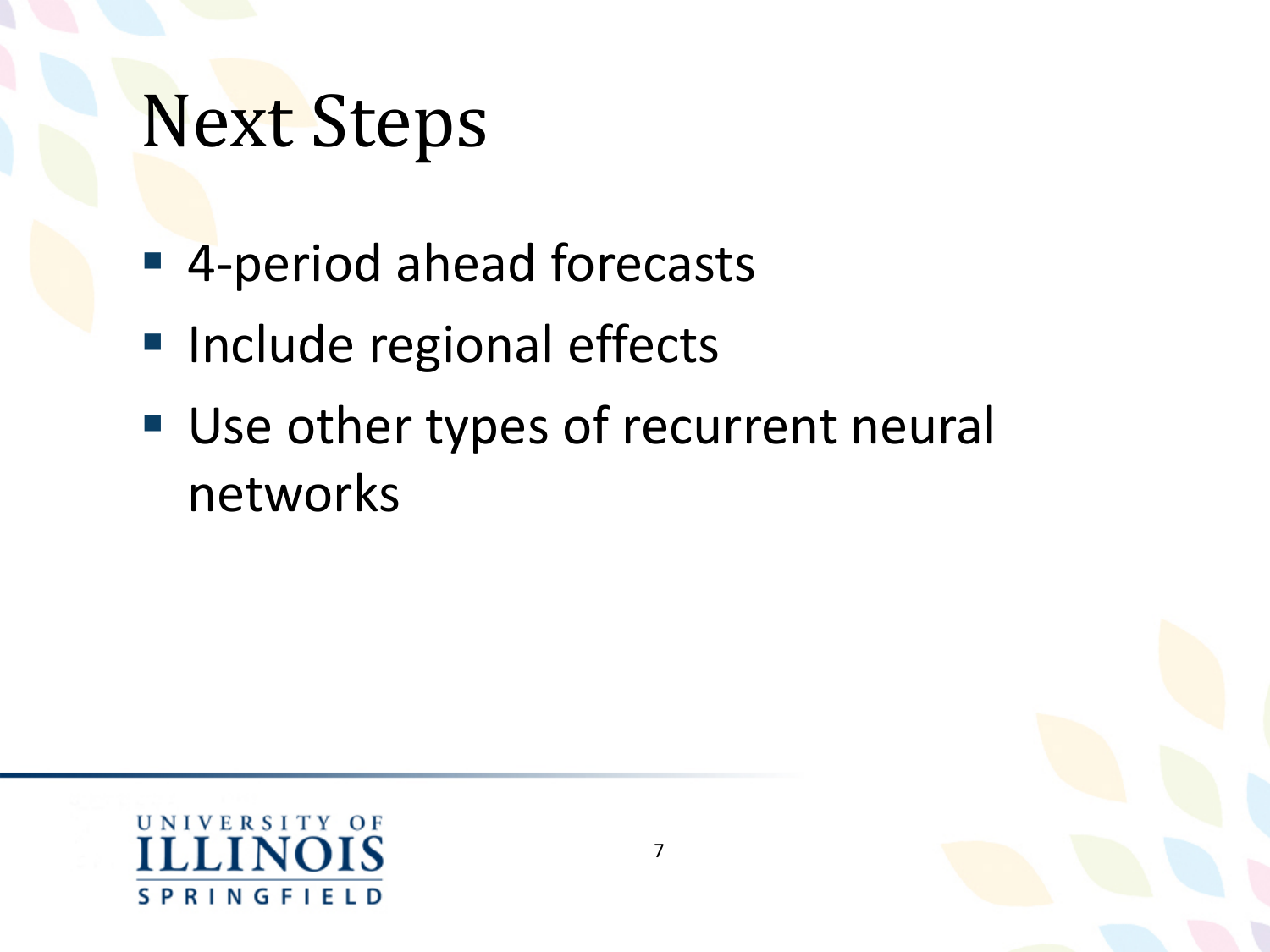## Next Steps

- 4-period ahead forecasts
- **Include regional effects**
- Use other types of recurrent neural networks



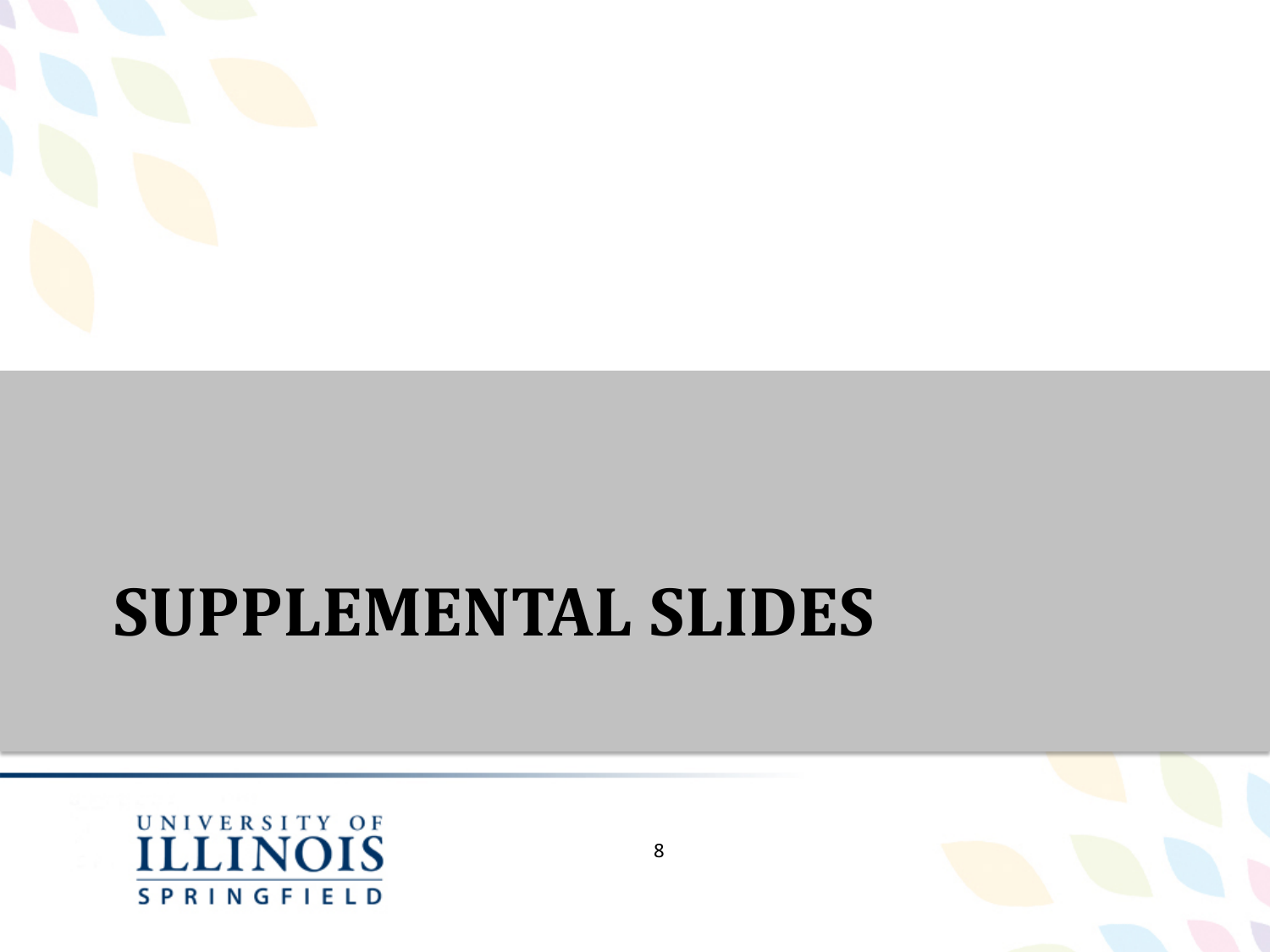

#### **SUPPLEMENTAL SLIDES**